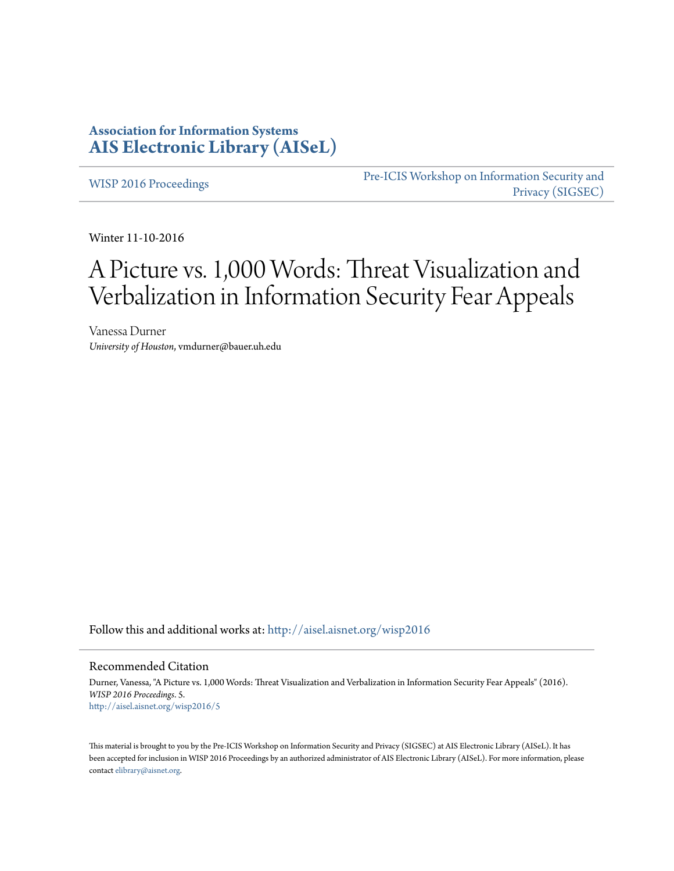# **Association for Information Systems [AIS Electronic Library \(AISeL\)](http://aisel.aisnet.org?utm_source=aisel.aisnet.org%2Fwisp2016%2F5&utm_medium=PDF&utm_campaign=PDFCoverPages)**

[WISP 2016 Proceedings](http://aisel.aisnet.org/wisp2016?utm_source=aisel.aisnet.org%2Fwisp2016%2F5&utm_medium=PDF&utm_campaign=PDFCoverPages)

[Pre-ICIS Workshop on Information Security and](http://aisel.aisnet.org/sigsec?utm_source=aisel.aisnet.org%2Fwisp2016%2F5&utm_medium=PDF&utm_campaign=PDFCoverPages) [Privacy \(SIGSEC\)](http://aisel.aisnet.org/sigsec?utm_source=aisel.aisnet.org%2Fwisp2016%2F5&utm_medium=PDF&utm_campaign=PDFCoverPages)

Winter 11-10-2016

# A Picture vs. 1,000 Words: Threat Visualization and Verbalization in Information Security Fear Appeals

Vanessa Durner *University of Houston*, vmdurner@bauer.uh.edu

Follow this and additional works at: [http://aisel.aisnet.org/wisp2016](http://aisel.aisnet.org/wisp2016?utm_source=aisel.aisnet.org%2Fwisp2016%2F5&utm_medium=PDF&utm_campaign=PDFCoverPages)

#### Recommended Citation

Durner, Vanessa, "A Picture vs. 1,000 Words: Threat Visualization and Verbalization in Information Security Fear Appeals" (2016). *WISP 2016 Proceedings*. 5. [http://aisel.aisnet.org/wisp2016/5](http://aisel.aisnet.org/wisp2016/5?utm_source=aisel.aisnet.org%2Fwisp2016%2F5&utm_medium=PDF&utm_campaign=PDFCoverPages)

This material is brought to you by the Pre-ICIS Workshop on Information Security and Privacy (SIGSEC) at AIS Electronic Library (AISeL). It has been accepted for inclusion in WISP 2016 Proceedings by an authorized administrator of AIS Electronic Library (AISeL). For more information, please contact [elibrary@aisnet.org.](mailto:elibrary@aisnet.org%3E)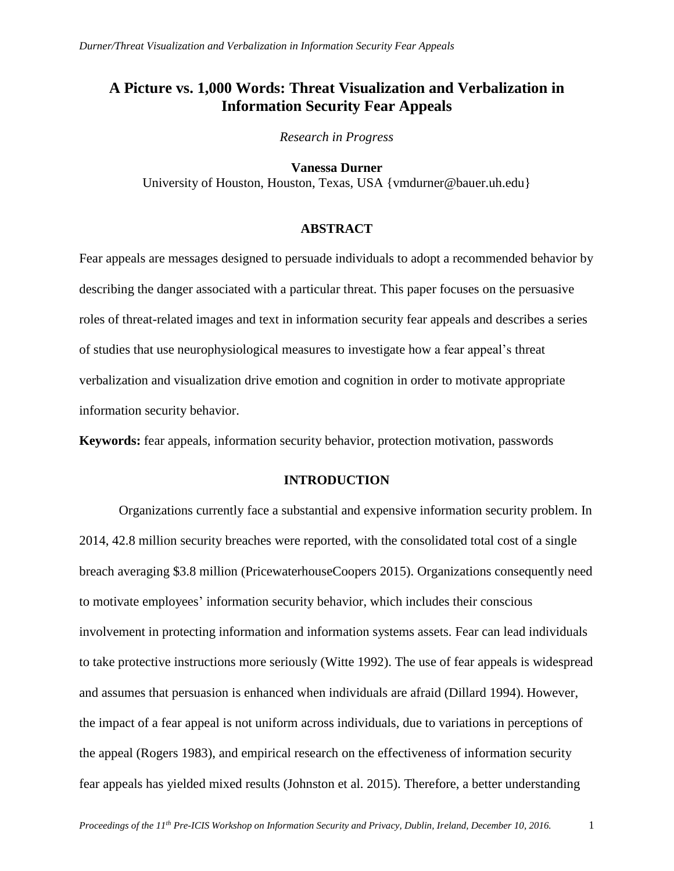# **A Picture vs. 1,000 Words: Threat Visualization and Verbalization in Information Security Fear Appeals**

*Research in Progress*

**Vanessa Durner** University of Houston, Houston, Texas, USA {vmdurner@bauer.uh.edu}

### **ABSTRACT**

Fear appeals are messages designed to persuade individuals to adopt a recommended behavior by describing the danger associated with a particular threat. This paper focuses on the persuasive roles of threat-related images and text in information security fear appeals and describes a series of studies that use neurophysiological measures to investigate how a fear appeal's threat verbalization and visualization drive emotion and cognition in order to motivate appropriate information security behavior.

**Keywords:** fear appeals, information security behavior, protection motivation, passwords

# **INTRODUCTION**

Organizations currently face a substantial and expensive information security problem. In 2014, 42.8 million security breaches were reported, with the consolidated total cost of a single breach averaging \$3.8 million (PricewaterhouseCoopers 2015). Organizations consequently need to motivate employees' information security behavior, which includes their conscious involvement in protecting information and information systems assets. Fear can lead individuals to take protective instructions more seriously (Witte 1992). The use of fear appeals is widespread and assumes that persuasion is enhanced when individuals are afraid (Dillard 1994). However, the impact of a fear appeal is not uniform across individuals, due to variations in perceptions of the appeal (Rogers 1983), and empirical research on the effectiveness of information security fear appeals has yielded mixed results (Johnston et al. 2015). Therefore, a better understanding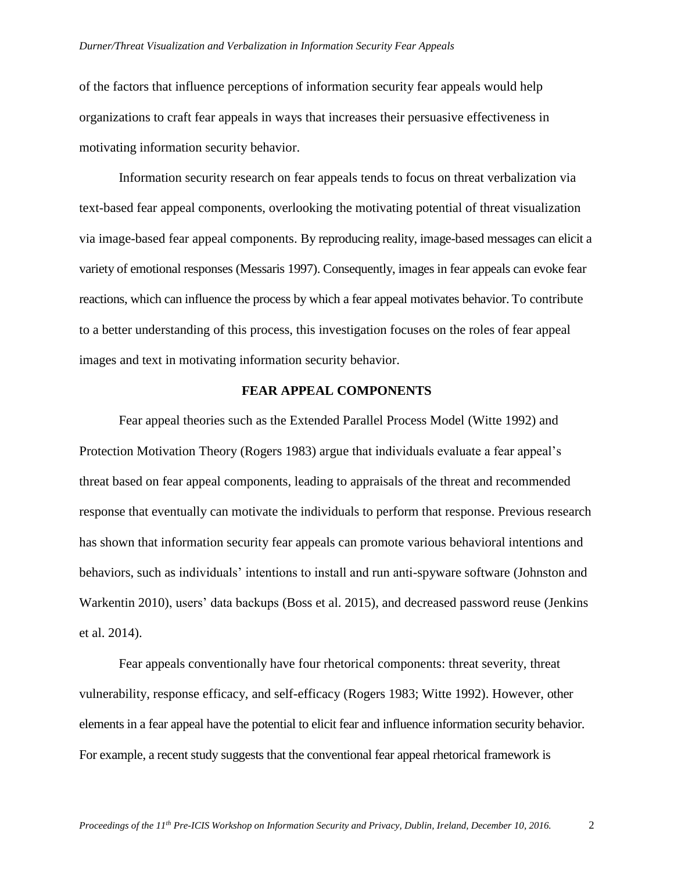#### *Durner/Threat Visualization and Verbalization in Information Security Fear Appeals*

of the factors that influence perceptions of information security fear appeals would help organizations to craft fear appeals in ways that increases their persuasive effectiveness in motivating information security behavior.

Information security research on fear appeals tends to focus on threat verbalization via text-based fear appeal components, overlooking the motivating potential of threat visualization via image-based fear appeal components. By reproducing reality, image-based messages can elicit a variety of emotional responses (Messaris 1997). Consequently, images in fear appeals can evoke fear reactions, which can influence the process by which a fear appeal motivates behavior. To contribute to a better understanding of this process, this investigation focuses on the roles of fear appeal images and text in motivating information security behavior.

### **FEAR APPEAL COMPONENTS**

Fear appeal theories such as the Extended Parallel Process Model (Witte 1992) and Protection Motivation Theory (Rogers 1983) argue that individuals evaluate a fear appeal's threat based on fear appeal components, leading to appraisals of the threat and recommended response that eventually can motivate the individuals to perform that response. Previous research has shown that information security fear appeals can promote various behavioral intentions and behaviors, such as individuals' intentions to install and run anti-spyware software (Johnston and Warkentin 2010), users' data backups (Boss et al. 2015), and decreased password reuse (Jenkins et al. 2014).

Fear appeals conventionally have four rhetorical components: threat severity, threat vulnerability, response efficacy, and self-efficacy (Rogers 1983; Witte 1992). However, other elements in a fear appeal have the potential to elicit fear and influence information security behavior. For example, a recent study suggests that the conventional fear appeal rhetorical framework is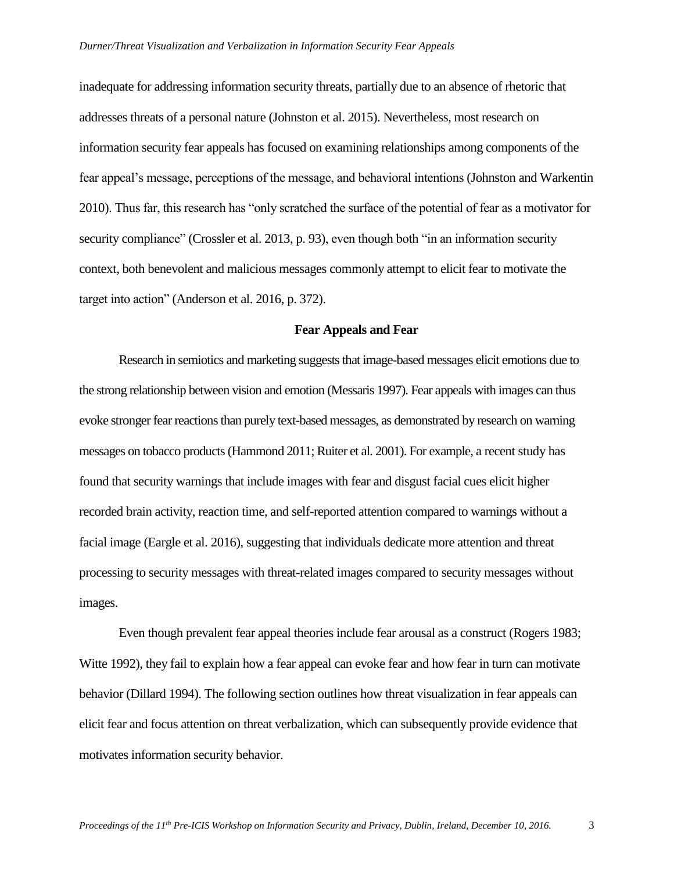inadequate for addressing information security threats, partially due to an absence of rhetoric that addresses threats of a personal nature (Johnston et al. 2015). Nevertheless, most research on information security fear appeals has focused on examining relationships among components of the fear appeal's message, perceptions of the message, and behavioral intentions (Johnston and Warkentin 2010). Thus far, this research has "only scratched the surface of the potential of fear as a motivator for security compliance" (Crossler et al. 2013, p. 93), even though both "in an information security context, both benevolent and malicious messages commonly attempt to elicit fear to motivate the target into action" (Anderson et al. 2016, p. 372).

# **Fear Appeals and Fear**

Research in semiotics and marketing suggests that image-based messages elicit emotions due to the strong relationship between vision and emotion (Messaris 1997). Fear appeals with images can thus evoke stronger fear reactions than purely text-based messages, as demonstrated by research on warning messages on tobacco products(Hammond 2011; Ruiter et al. 2001). For example, a recent study has found that security warnings that include images with fear and disgust facial cues elicit higher recorded brain activity, reaction time, and self-reported attention compared to warnings without a facial image (Eargle et al. 2016), suggesting that individuals dedicate more attention and threat processing to security messages with threat-related images compared to security messages without images.

Even though prevalent fear appeal theories include fear arousal as a construct (Rogers 1983; Witte 1992), they fail to explain how a fear appeal can evoke fear and how fear in turn can motivate behavior (Dillard 1994). The following section outlines how threat visualization in fear appeals can elicit fear and focus attention on threat verbalization, which can subsequently provide evidence that motivates information security behavior.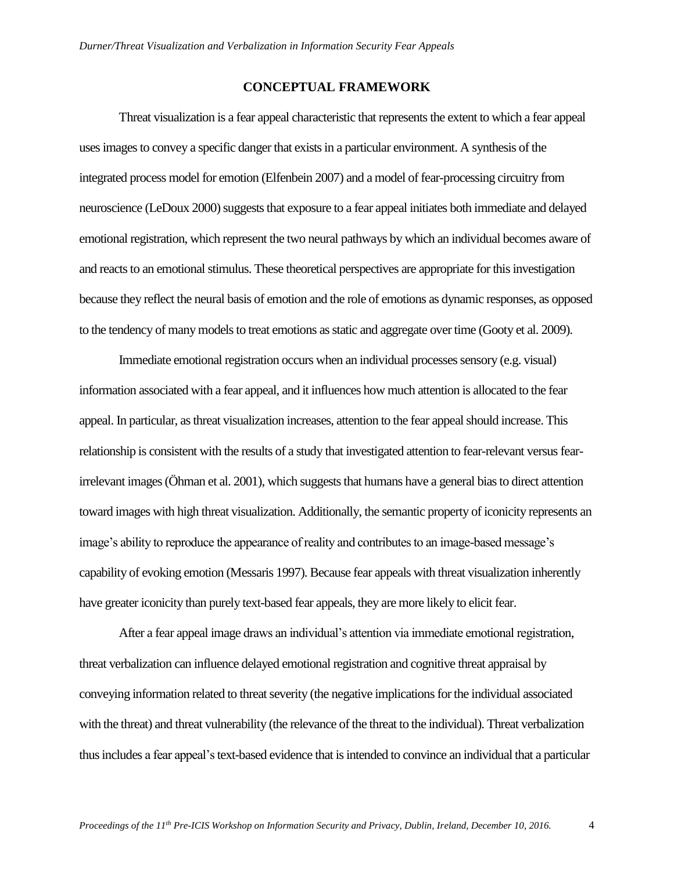# **CONCEPTUAL FRAMEWORK**

Threat visualization is a fear appeal characteristic that represents the extent to which a fear appeal uses images to convey a specific danger that exists in a particular environment. A synthesis of the integrated process model for emotion (Elfenbein 2007) and a model of fear-processing circuitry from neuroscience (LeDoux 2000) suggests that exposure to a fear appeal initiates both immediate and delayed emotional registration, which represent the two neural pathways by which an individual becomes aware of and reacts to an emotional stimulus. These theoretical perspectives are appropriate for this investigation because they reflect the neural basis of emotion and the role of emotions as dynamic responses, as opposed to the tendency of many models to treat emotions as static and aggregate over time (Gooty et al. 2009).

Immediate emotional registration occurs when an individual processes sensory (e.g. visual) information associated with a fear appeal, and it influences how much attention is allocated to the fear appeal. In particular, as threat visualization increases, attention to the fear appeal should increase. This relationship is consistent with the results of a study that investigated attention to fear-relevant versus fearirrelevant images (Öhman et al. 2001), which suggests that humans have a general bias to direct attention toward images with high threat visualization. Additionally, the semantic property of iconicity represents an image's ability to reproduce the appearance of reality and contributes to an image-based message's capability of evoking emotion (Messaris 1997). Because fear appeals with threat visualization inherently have greater iconicity than purely text-based fear appeals, they are more likely to elicit fear.

After a fear appeal image draws an individual's attention via immediate emotional registration, threat verbalization can influence delayed emotional registration and cognitive threat appraisal by conveying information related to threat severity (the negative implications for the individual associated with the threat) and threat vulnerability (the relevance of the threat to the individual). Threat verbalization thus includes a fear appeal's text-based evidence that is intended to convince an individual that a particular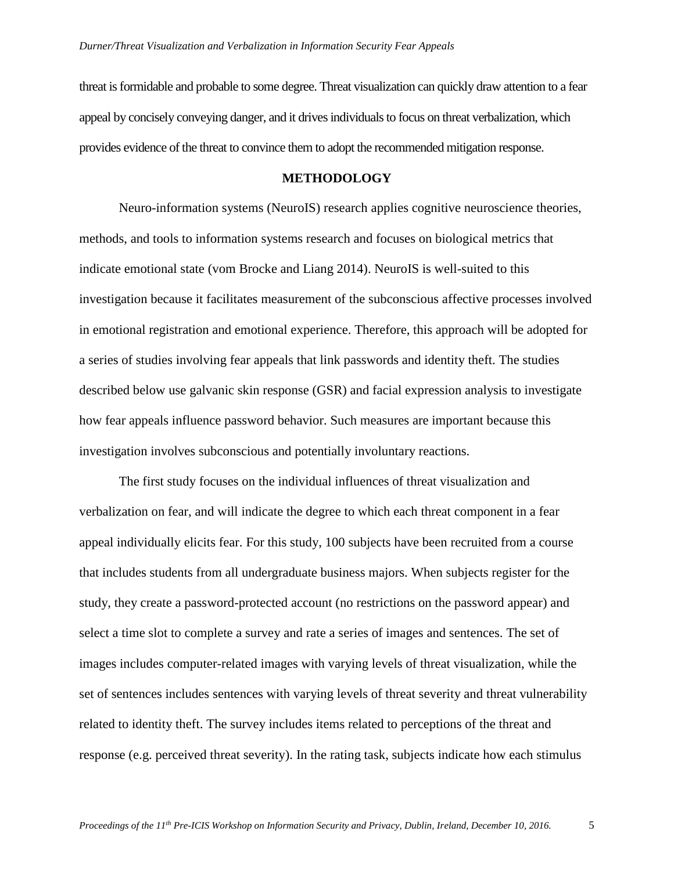threat is formidable and probable to some degree. Threat visualization can quickly draw attention to a fear appeal by concisely conveying danger, and it drives individuals to focus on threat verbalization, which provides evidence of the threat to convince them to adopt the recommended mitigation response.

# **METHODOLOGY**

Neuro-information systems (NeuroIS) research applies cognitive neuroscience theories, methods, and tools to information systems research and focuses on biological metrics that indicate emotional state (vom Brocke and Liang 2014). NeuroIS is well-suited to this investigation because it facilitates measurement of the subconscious affective processes involved in emotional registration and emotional experience. Therefore, this approach will be adopted for a series of studies involving fear appeals that link passwords and identity theft. The studies described below use galvanic skin response (GSR) and facial expression analysis to investigate how fear appeals influence password behavior. Such measures are important because this investigation involves subconscious and potentially involuntary reactions.

The first study focuses on the individual influences of threat visualization and verbalization on fear, and will indicate the degree to which each threat component in a fear appeal individually elicits fear. For this study, 100 subjects have been recruited from a course that includes students from all undergraduate business majors. When subjects register for the study, they create a password-protected account (no restrictions on the password appear) and select a time slot to complete a survey and rate a series of images and sentences. The set of images includes computer-related images with varying levels of threat visualization, while the set of sentences includes sentences with varying levels of threat severity and threat vulnerability related to identity theft. The survey includes items related to perceptions of the threat and response (e.g. perceived threat severity). In the rating task, subjects indicate how each stimulus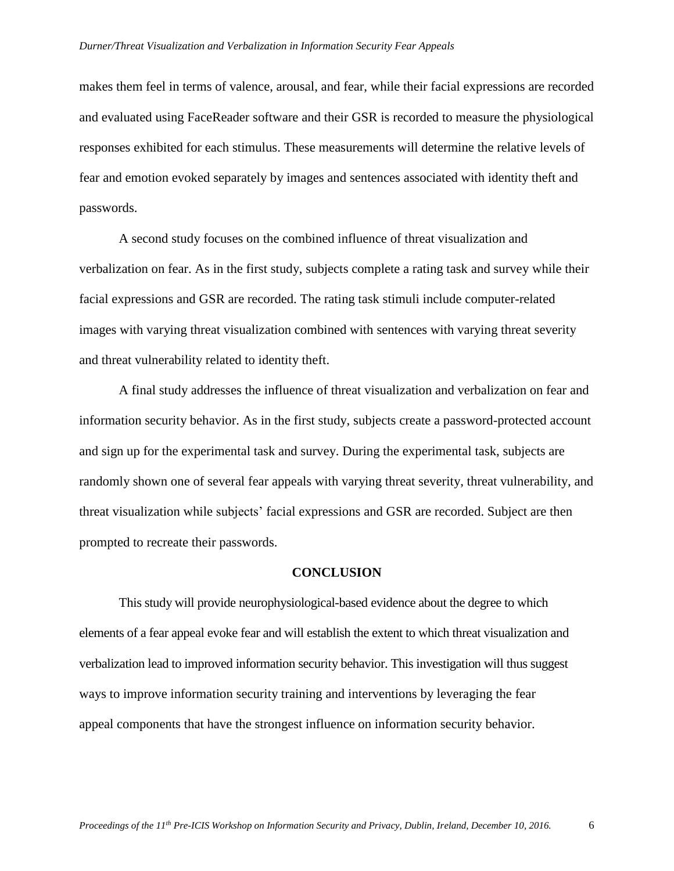makes them feel in terms of valence, arousal, and fear, while their facial expressions are recorded and evaluated using FaceReader software and their GSR is recorded to measure the physiological responses exhibited for each stimulus. These measurements will determine the relative levels of fear and emotion evoked separately by images and sentences associated with identity theft and passwords.

A second study focuses on the combined influence of threat visualization and verbalization on fear. As in the first study, subjects complete a rating task and survey while their facial expressions and GSR are recorded. The rating task stimuli include computer-related images with varying threat visualization combined with sentences with varying threat severity and threat vulnerability related to identity theft.

A final study addresses the influence of threat visualization and verbalization on fear and information security behavior. As in the first study, subjects create a password-protected account and sign up for the experimental task and survey. During the experimental task, subjects are randomly shown one of several fear appeals with varying threat severity, threat vulnerability, and threat visualization while subjects' facial expressions and GSR are recorded. Subject are then prompted to recreate their passwords.

#### **CONCLUSION**

This study will provide neurophysiological-based evidence about the degree to which elements of a fear appeal evoke fear and will establish the extent to which threat visualization and verbalization lead to improved information security behavior. This investigation will thus suggest ways to improve information security training and interventions by leveraging the fear appeal components that have the strongest influence on information security behavior.